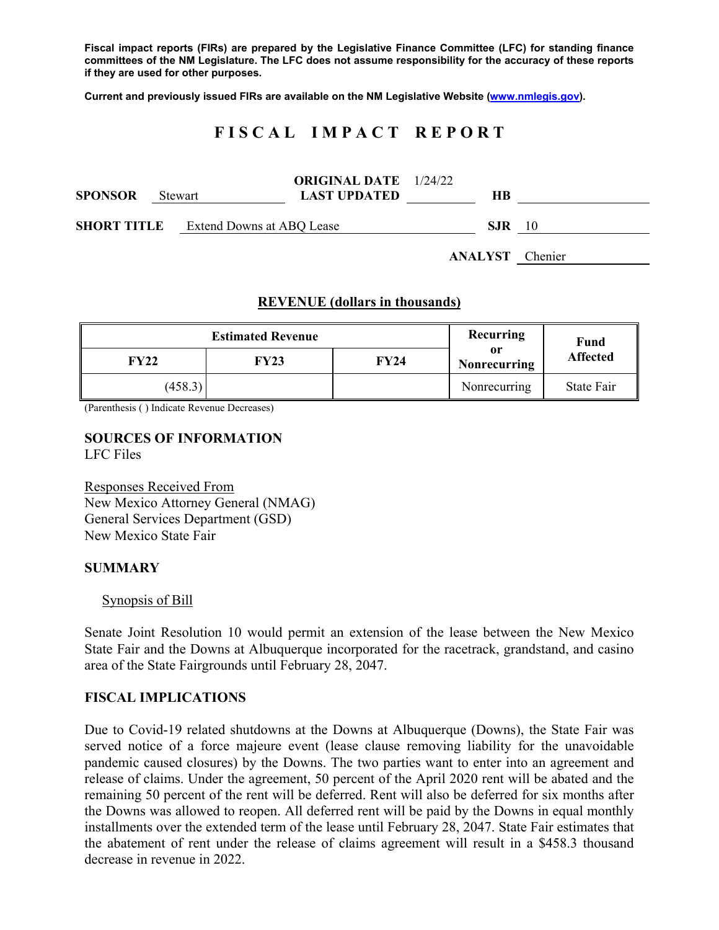**Fiscal impact reports (FIRs) are prepared by the Legislative Finance Committee (LFC) for standing finance committees of the NM Legislature. The LFC does not assume responsibility for the accuracy of these reports if they are used for other purposes.** 

**Current and previously issued FIRs are available on the NM Legislative Website (www.nmlegis.gov).** 

# **F I S C A L I M P A C T R E P O R T**

| SPONSOR | Stewart |                                              | <b>ORIGINAL DATE</b> 1/24/22<br><b>LAST UPDATED</b> | <b>HB</b> |  |                        |
|---------|---------|----------------------------------------------|-----------------------------------------------------|-----------|--|------------------------|
|         |         | <b>SHORT TITLE</b> Extend Downs at ABQ Lease |                                                     | SJR.      |  | 10                     |
|         |         |                                              |                                                     |           |  | <b>ANALYST</b> Chenier |

### **REVENUE (dollars in thousands)**

|             | <b>Estimated Revenue</b> | Recurring | <b>Fund</b>        |                 |
|-------------|--------------------------|-----------|--------------------|-----------------|
| <b>FY22</b> | <b>FY23</b>              | FY24      | or<br>Nonrecurring | <b>Affected</b> |
| (458.3)     |                          |           | Nonrecurring       | State Fair      |

(Parenthesis ( ) Indicate Revenue Decreases)

**SOURCES OF INFORMATION**  LFC Files

Responses Received From New Mexico Attorney General (NMAG) General Services Department (GSD) New Mexico State Fair

#### **SUMMARY**

#### Synopsis of Bill

Senate Joint Resolution 10 would permit an extension of the lease between the New Mexico State Fair and the Downs at Albuquerque incorporated for the racetrack, grandstand, and casino area of the State Fairgrounds until February 28, 2047.

#### **FISCAL IMPLICATIONS**

Due to Covid-19 related shutdowns at the Downs at Albuquerque (Downs), the State Fair was served notice of a force majeure event (lease clause removing liability for the unavoidable pandemic caused closures) by the Downs. The two parties want to enter into an agreement and release of claims. Under the agreement, 50 percent of the April 2020 rent will be abated and the remaining 50 percent of the rent will be deferred. Rent will also be deferred for six months after the Downs was allowed to reopen. All deferred rent will be paid by the Downs in equal monthly installments over the extended term of the lease until February 28, 2047. State Fair estimates that the abatement of rent under the release of claims agreement will result in a \$458.3 thousand decrease in revenue in 2022.